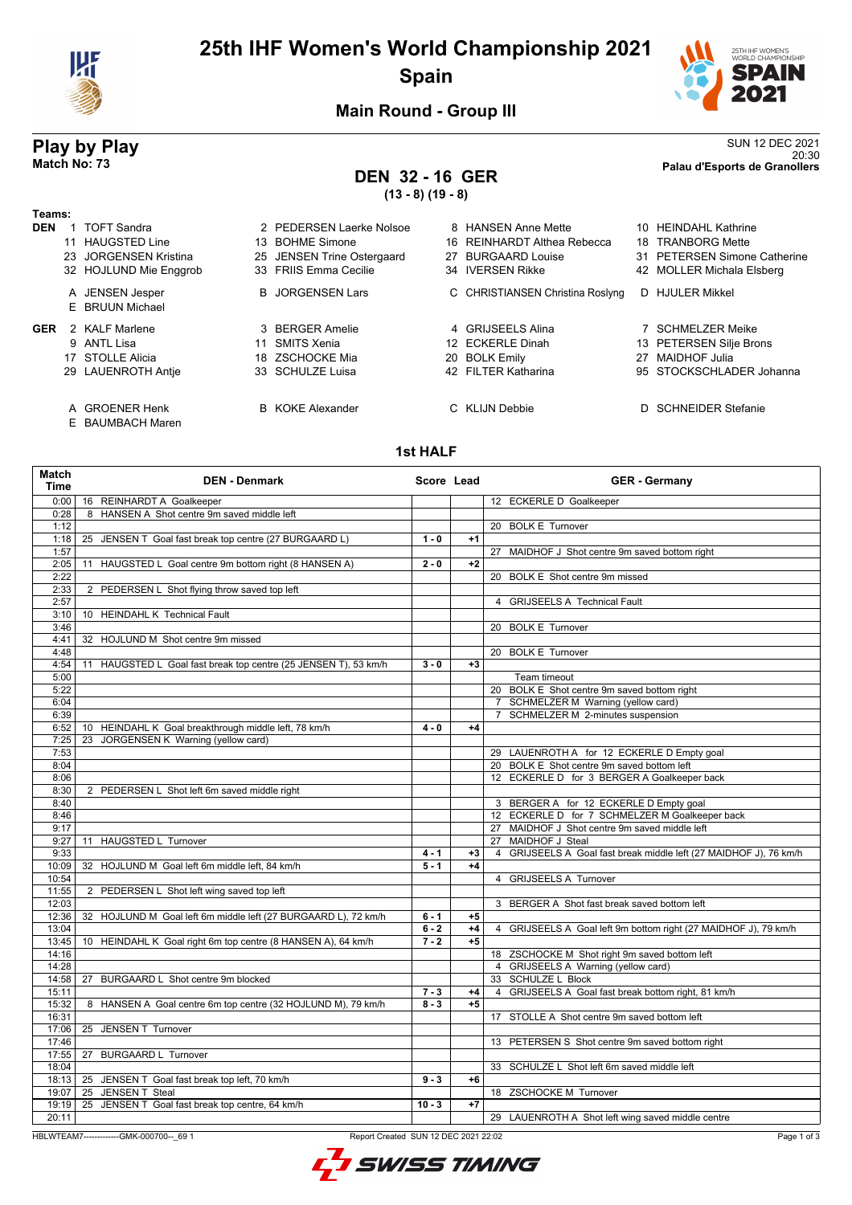

# **25th IHF Women's World Championship 2021 Spain**



20:30 **Match No: 73 Palau d'Esports de Granollers**

**Main Round - Group III**

# **Play by Play**<br>Match No: 73<br>Palau d'Esports de Granollers

# **DEN 32 - 16 GER**

**(13 - 8) (19 - 8)**

| Teams:     |    |                                    |     |                            |    |                                  |     |                              |
|------------|----|------------------------------------|-----|----------------------------|----|----------------------------------|-----|------------------------------|
| <b>DEN</b> |    | TOFT Sandra                        |     | 2 PEDERSEN Laerke Nolsoe   |    | 8 HANSEN Anne Mette              |     | 10 HEINDAHL Kathrine         |
|            |    | <b>HAUGSTED Line</b>               | 13. | <b>BOHME Simone</b>        |    | 16 REINHARDT Althea Rebecca      | 18. | <b>TRANBORG Mette</b>        |
|            | 23 | JORGENSEN Kristina                 |     | 25 JENSEN Trine Ostergaard | 27 | <b>BURGAARD Louise</b>           |     | 31 PETERSEN Simone Catherine |
|            |    | 32 HOJLUND Mie Enggrob             |     | 33 FRIIS Emma Cecilie      |    | 34 IVERSEN Rikke                 |     | 42 MOLLER Michala Elsberg    |
|            |    | A JENSEN Jesper                    |     | <b>B</b> JORGENSEN Lars    |    | C CHRISTIANSEN Christina Roslyng | D.  | <b>HJULER Mikkel</b>         |
|            |    | E BRUUN Michael                    |     |                            |    |                                  |     |                              |
| <b>GER</b> |    | 2 KALF Marlene                     |     | 3 BERGER Amelie            |    | 4 GRIJSEELS Alina                |     | SCHMELZER Meike              |
|            |    | 9 ANTL Lisa                        | 11  | SMITS Xenia                |    | 12 ECKERLE Dinah                 |     | 13 PETERSEN Silje Brons      |
|            |    | 17 STOLLE Alicia                   |     | 18 ZSCHOCKE Mia            |    | 20 BOLK Emily                    | 27  | MAIDHOF Julia                |
|            |    | 29 LAUENROTH Antie                 |     | 33 SCHULZE Luisa           |    | 42 FILTER Katharina              |     | 95 STOCKSCHLADER Johanna     |
|            |    | A GROENER Henk<br>E BAUMBACH Maren |     | <b>B</b> KOKE Alexander    |    | C KLIJN Debbie                   |     | <b>SCHNEIDER Stefanie</b>    |

#### **1st HALF**

| <b>Match</b><br><b>Time</b> | <b>DEN - Denmark</b>                                               | Score Lead |      | <b>GER</b> - Germany                                              |
|-----------------------------|--------------------------------------------------------------------|------------|------|-------------------------------------------------------------------|
| 0:00                        | 16 REINHARDT A Goalkeeper                                          |            |      | 12 ECKERLE D Goalkeeper                                           |
| 0:28                        | 8 HANSEN A Shot centre 9m saved middle left                        |            |      |                                                                   |
| 1:12                        |                                                                    |            |      | 20 BOLK E Turnover                                                |
| 1:18                        | 25 JENSEN T Goal fast break top centre (27 BURGAARD L)             | $1 - 0$    | $+1$ |                                                                   |
| 1:57                        |                                                                    |            |      | 27 MAIDHOF J Shot centre 9m saved bottom right                    |
| 2:05                        | 11 HAUGSTED L Goal centre 9m bottom right (8 HANSEN A)             | $2 - 0$    | $+2$ |                                                                   |
| 2:22                        |                                                                    |            |      | 20 BOLK E Shot centre 9m missed                                   |
| 2:33                        | 2 PEDERSEN L Shot flying throw saved top left                      |            |      |                                                                   |
| 2:57                        |                                                                    |            |      | 4 GRIJSEELS A Technical Fault                                     |
| 3:10                        | 10 HEINDAHL K Technical Fault                                      |            |      |                                                                   |
| 3:46                        |                                                                    |            |      | 20 BOLK E Turnover                                                |
| 4:41                        | 32 HOJLUND M Shot centre 9m missed                                 |            |      |                                                                   |
| 4:48                        |                                                                    |            |      | 20 BOLK E Turnover                                                |
| 4:54                        | HAUGSTED L Goal fast break top centre (25 JENSEN T), 53 km/h<br>11 | $3 - 0$    | $+3$ |                                                                   |
| 5:00                        |                                                                    |            |      | Team timeout                                                      |
| 5:22                        |                                                                    |            |      | 20 BOLK E Shot centre 9m saved bottom right                       |
| 6:04                        |                                                                    |            |      | 7 SCHMELZER M Warning (yellow card)                               |
| 6:39                        |                                                                    |            |      | 7 SCHMELZER M 2-minutes suspension                                |
| 6:52                        | 10 HEINDAHL K Goal breakthrough middle left, 78 km/h               | $4 - 0$    | $+4$ |                                                                   |
| 7:25                        | 23 JORGENSEN K Warning (yellow card)                               |            |      |                                                                   |
| 7:53                        |                                                                    |            |      | 29 LAUENROTH A for 12 ECKERLE D Empty goal                        |
| 8:04                        |                                                                    |            |      | 20 BOLK E Shot centre 9m saved bottom left                        |
| 8:06                        |                                                                    |            |      | 12 ECKERLE D for 3 BERGER A Goalkeeper back                       |
| 8:30                        | 2 PEDERSEN L Shot left 6m saved middle right                       |            |      |                                                                   |
| 8:40                        |                                                                    |            |      | 3 BERGER A for 12 ECKERLE D Empty goal                            |
| 8:46                        |                                                                    |            |      | 12 ECKERLE D for 7 SCHMELZER M Goalkeeper back                    |
| 9:17                        |                                                                    |            |      | 27 MAIDHOF J Shot centre 9m saved middle left                     |
| 9:27                        | 11 HAUGSTED L Turnover                                             |            |      | 27 MAIDHOF J Steal                                                |
| 9:33                        |                                                                    | $4 - 1$    | $+3$ | 4 GRIJSEELS A Goal fast break middle left (27 MAIDHOF J), 76 km/h |
| 10:09                       | 32 HOJLUND M Goal left 6m middle left, 84 km/h                     | $5 - 1$    | $+4$ |                                                                   |
| 10:54                       |                                                                    |            |      | 4 GRIJSEELS A Turnover                                            |
| 11:55                       |                                                                    |            |      |                                                                   |
| 12:03                       | 2 PEDERSEN L Shot left wing saved top left                         |            |      | 3 BERGER A Shot fast break saved bottom left                      |
|                             |                                                                    |            |      |                                                                   |
| 12:36                       | 32 HOJLUND M Goal left 6m middle left (27 BURGAARD L), 72 km/h     | $6 - 1$    | $+5$ |                                                                   |
| 13:04                       |                                                                    | $6 - 2$    | $+4$ | 4 GRIJSEELS A Goal left 9m bottom right (27 MAIDHOF J), 79 km/h   |
| 13:45                       | 10 HEINDAHL K Goal right 6m top centre (8 HANSEN A), 64 km/h       | $7 - 2$    | $+5$ |                                                                   |
| 14:16                       |                                                                    |            |      | 18 ZSCHOCKE M Shot right 9m saved bottom left                     |
| 14:28                       |                                                                    |            |      | 4 GRIJSEELS A Warning (yellow card)                               |
| 14:58                       | 27 BURGAARD L Shot centre 9m blocked                               |            |      | 33 SCHULZE L Block                                                |
| 15:11                       |                                                                    | $7 - 3$    | $+4$ | 4 GRIJSEELS A Goal fast break bottom right, 81 km/h               |
| 15:32                       | 8 HANSEN A Goal centre 6m top centre (32 HOJLUND M), 79 km/h       | $8 - 3$    | $+5$ |                                                                   |
| 16:31                       |                                                                    |            |      | 17 STOLLE A Shot centre 9m saved bottom left                      |
|                             | 17:06   25 JENSEN T Turnover                                       |            |      |                                                                   |
| 17:46                       |                                                                    |            |      | 13 PETERSEN S Shot centre 9m saved bottom right                   |
| 17:55                       | 27 BURGAARD L Turnover                                             |            |      |                                                                   |
| 18:04                       |                                                                    |            |      | 33 SCHULZE L Shot left 6m saved middle left                       |
| 18:13                       | 25 JENSEN T Goal fast break top left, 70 km/h                      | $9 - 3$    | $+6$ |                                                                   |
| 19:07                       | 25 JENSEN T Steal                                                  |            |      | 18 ZSCHOCKE M Turnover                                            |
| 19:19                       | 25 JENSEN T Goal fast break top centre, 64 km/h                    | $10 - 3$   | $+7$ |                                                                   |
| 20:11                       |                                                                    |            |      | 29 LAUENROTH A Shot left wing saved middle centre                 |

HBLWTEAM7-------------GMK-000700--\_69 1 Report Created SUN 12 DEC 2021 22:02

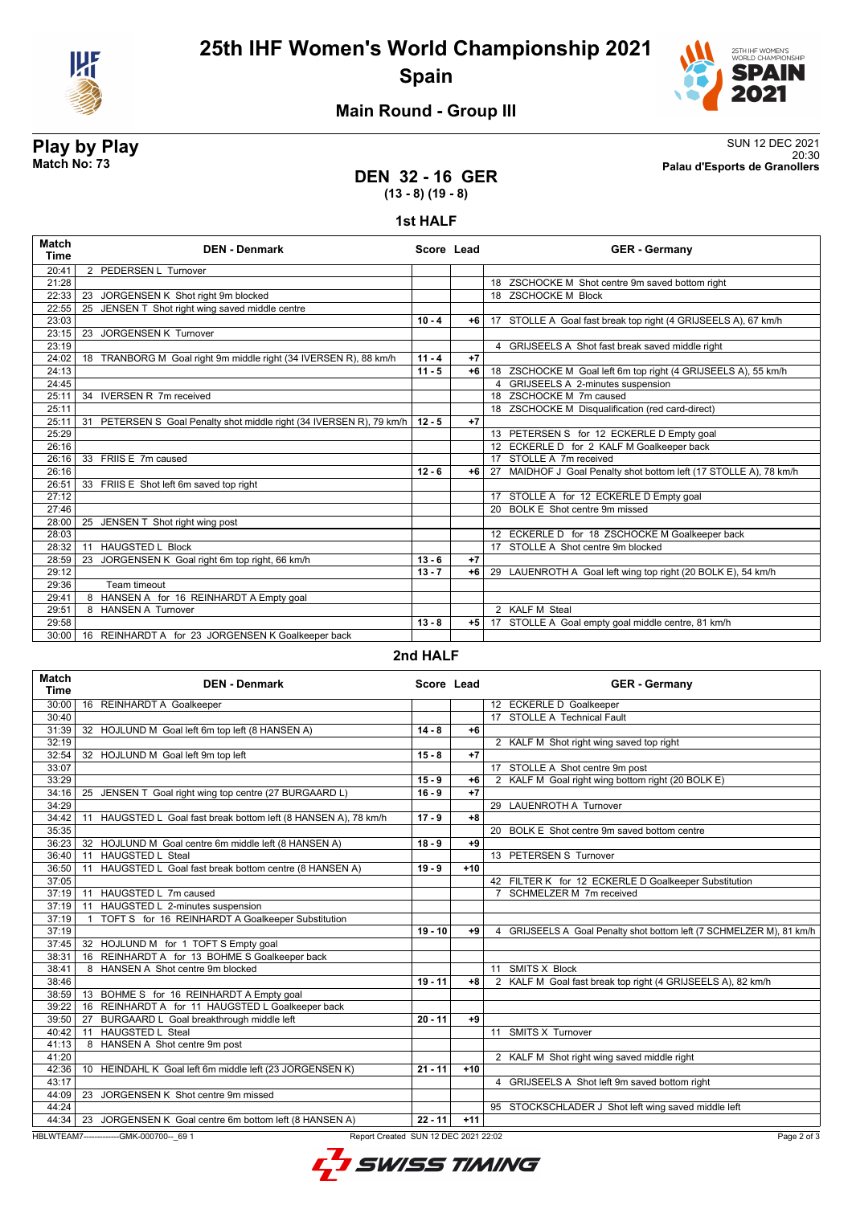

## **25th IHF Women's World Championship 2021 Spain**



### **Main Round - Group III**

**Play by Play**<br>Match No: 73<br>Palau d'Esports de Granollers 20:30 **Match No: 73 Palau d'Esports de Granollers**

#### **DEN 32 - 16 GER (13 - 8) (19 - 8)**

#### **1st HALF**

| Match<br><b>Time</b> | <b>DEN - Denmark</b>                                                 | Score Lead |      | <b>GER</b> - Germany                                              |
|----------------------|----------------------------------------------------------------------|------------|------|-------------------------------------------------------------------|
| 20:41                | 2 PEDERSEN L Turnover                                                |            |      |                                                                   |
| 21:28                |                                                                      |            |      | 18 ZSCHOCKE M Shot centre 9m saved bottom right                   |
| 22:33                | 23 JORGENSEN K Shot right 9m blocked                                 |            |      | 18 ZSCHOCKE M Block                                               |
| 22:55                | JENSEN T Shot right wing saved middle centre<br>25                   |            |      |                                                                   |
| 23:03                |                                                                      | $10 - 4$   | $+6$ | 17 STOLLE A Goal fast break top right (4 GRIJSEELS A), 67 km/h    |
| 23:15                | 23 JORGENSEN K Turnover                                              |            |      |                                                                   |
| 23:19                |                                                                      |            |      | 4 GRIJSEELS A Shot fast break saved middle right                  |
| 24:02                | 18 TRANBORG M Goal right 9m middle right (34 IVERSEN R), 88 km/h     | $11 - 4$   | $+7$ |                                                                   |
| 24:13                |                                                                      | $11 - 5$   | $+6$ | 18 ZSCHOCKE M Goal left 6m top right (4 GRIJSEELS A), 55 km/h     |
| 24:45                |                                                                      |            |      | 4 GRIJSEELS A 2-minutes suspension                                |
| 25:11                | 34 IVERSEN R 7m received                                             |            |      | 18 ZSCHOCKE M 7m caused                                           |
| 25:11                |                                                                      |            |      | 18 ZSCHOCKE M Disqualification (red card-direct)                  |
| 25:11                | 31 PETERSEN S Goal Penalty shot middle right (34 IVERSEN R), 79 km/h | $12 - 5$   | $+7$ |                                                                   |
| 25:29                |                                                                      |            |      | 13 PETERSEN S for 12 ECKERLE D Empty goal                         |
| 26:16                |                                                                      |            |      | 12 ECKERLE D for 2 KALF M Goalkeeper back                         |
| 26:16                | 33 FRIIS E 7m caused                                                 |            |      | 17 STOLLE A 7m received                                           |
| 26:16                |                                                                      | $12 - 6$   | $+6$ | 27 MAIDHOF J Goal Penalty shot bottom left (17 STOLLE A), 78 km/h |
| 26:51                | 33 FRIIS E Shot left 6m saved top right                              |            |      |                                                                   |
| 27:12                |                                                                      |            |      | 17 STOLLE A for 12 ECKERLE D Empty goal                           |
| 27:46                |                                                                      |            |      | 20 BOLK E Shot centre 9m missed                                   |
| 28:00                | 25 JENSEN T Shot right wing post                                     |            |      |                                                                   |
| 28:03                |                                                                      |            |      | 12 ECKERLE D for 18 ZSCHOCKE M Goalkeeper back                    |
| 28:32                | <b>HAUGSTED L Block</b><br>11                                        |            |      | 17 STOLLE A Shot centre 9m blocked                                |
| 28:59                | JORGENSEN K Goal right 6m top right, 66 km/h<br>23                   | $13 - 6$   | $+7$ |                                                                   |
| 29:12                |                                                                      | $13 - 7$   | $+6$ | 29 LAUENROTH A Goal left wing top right (20 BOLK E), 54 km/h      |
| 29:36                | Team timeout                                                         |            |      |                                                                   |
| 29:41                | 8 HANSEN A for 16 REINHARDT A Empty goal                             |            |      |                                                                   |
| 29:51                | 8 HANSEN A Turnover                                                  |            |      | 2 KALF M Steal                                                    |
| 29:58                |                                                                      | $13 - 8$   | $+5$ | 17 STOLLE A Goal empty goal middle centre, 81 km/h                |
| 30:00                | 16 REINHARDT A for 23 JORGENSEN K Goalkeeper back                    |            |      |                                                                   |

#### **2nd HALF**

| <b>Match</b><br><b>Time</b> | <b>DEN - Denmark</b>                                                             | Score Lead |       | <b>GER</b> - Germany                                                    |
|-----------------------------|----------------------------------------------------------------------------------|------------|-------|-------------------------------------------------------------------------|
| 30:00                       | 16 REINHARDT A Goalkeeper                                                        |            |       | 12 ECKERLE D Goalkeeper                                                 |
| 30:40                       |                                                                                  |            |       | 17 STOLLE A Technical Fault                                             |
| 31:39                       | 32 HOJLUND M Goal left 6m top left (8 HANSEN A)                                  | $14 - 8$   | $+6$  |                                                                         |
| 32:19                       |                                                                                  |            |       | 2 KALF M Shot right wing saved top right                                |
| 32:54                       | 32 HOJLUND M Goal left 9m top left                                               | $15 - 8$   | $+7$  |                                                                         |
| 33:07                       |                                                                                  |            |       | 17 STOLLE A Shot centre 9m post                                         |
| 33:29                       |                                                                                  | $15 - 9$   | $+6$  | 2 KALF M Goal right wing bottom right (20 BOLK E)                       |
| 34:16                       | 25 JENSEN T Goal right wing top centre (27 BURGAARD L)                           | $16 - 9$   | $+7$  |                                                                         |
| 34:29                       |                                                                                  |            |       | 29 LAUENROTH A Turnover                                                 |
| 34:42                       | 11 HAUGSTED L Goal fast break bottom left (8 HANSEN A), 78 km/h                  | $17 - 9$   | $+8$  |                                                                         |
| 35:35                       |                                                                                  |            |       | 20 BOLK E Shot centre 9m saved bottom centre                            |
| 36:23                       | 32 HOJLUND M Goal centre 6m middle left (8 HANSEN A)                             | $18 - 9$   | +9    |                                                                         |
| 36:40                       | 11 HAUGSTED L Steal                                                              |            |       | 13 PETERSEN S Turnover                                                  |
| 36:50                       | 11 HAUGSTED L Goal fast break bottom centre (8 HANSEN A)                         | $19 - 9$   | $+10$ |                                                                         |
| 37:05                       |                                                                                  |            |       | 42 FILTER K for 12 ECKERLE D Goalkeeper Substitution                    |
| 37:19                       | 11 HAUGSTED L 7m caused                                                          |            |       | 7 SCHMELZER M 7m received                                               |
| 37:19                       | HAUGSTED L 2-minutes suspension<br>11                                            |            |       |                                                                         |
| 37:19                       | TOFT S for 16 REINHARDT A Goalkeeper Substitution<br>$\overline{1}$              |            |       |                                                                         |
| 37:19                       |                                                                                  | $19 - 10$  | +9    | GRIJSEELS A Goal Penalty shot bottom left (7 SCHMELZER M), 81 km/h<br>4 |
| 37:45                       | 32 HOJLUND M for 1 TOFT S Empty goal                                             |            |       |                                                                         |
| 38:31                       | 16 REINHARDT A for 13 BOHME S Goalkeeper back                                    |            |       |                                                                         |
| 38:41                       | 8 HANSEN A Shot centre 9m blocked                                                |            |       | 11 SMITS X Block                                                        |
| 38:46                       |                                                                                  | $19 - 11$  | $+8$  | 2 KALF M Goal fast break top right (4 GRIJSEELS A), 82 km/h             |
| 38:59                       | 13 BOHME S for 16 REINHARDT A Empty goal                                         |            |       |                                                                         |
| 39:22                       | 16 REINHARDT A for 11 HAUGSTED L Goalkeeper back                                 |            |       |                                                                         |
| 39:50                       | BURGAARD L Goal breakthrough middle left<br>27                                   | $20 - 11$  | $+9$  |                                                                         |
| 40:42                       | <b>HAUGSTED L Steal</b><br>11                                                    |            |       | 11 SMITS X Turnover                                                     |
| 41:13                       | 8 HANSEN A Shot centre 9m post                                                   |            |       |                                                                         |
| 41:20                       |                                                                                  |            |       | 2 KALF M Shot right wing saved middle right                             |
| 42:36                       | 10 HEINDAHL K Goal left 6m middle left (23 JORGENSEN K)                          | $21 - 11$  | $+10$ |                                                                         |
| 43:17                       |                                                                                  |            |       | 4 GRIJSEELS A Shot left 9m saved bottom right                           |
| 44:09                       | JORGENSEN K Shot centre 9m missed<br>23                                          |            |       |                                                                         |
| 44:24                       |                                                                                  |            |       | 95 STOCKSCHLADER J Shot left wing saved middle left                     |
| 44:34                       | 23 JORGENSEN K Goal centre 6m bottom left (8 HANSEN A)                           | $22 - 11$  | $+11$ |                                                                         |
|                             | HBLWTEAM7--------------GMK-000700-- 69 1<br>Report Created SUN 12 DEC 2021 22:02 |            |       | Page 2 of 3                                                             |